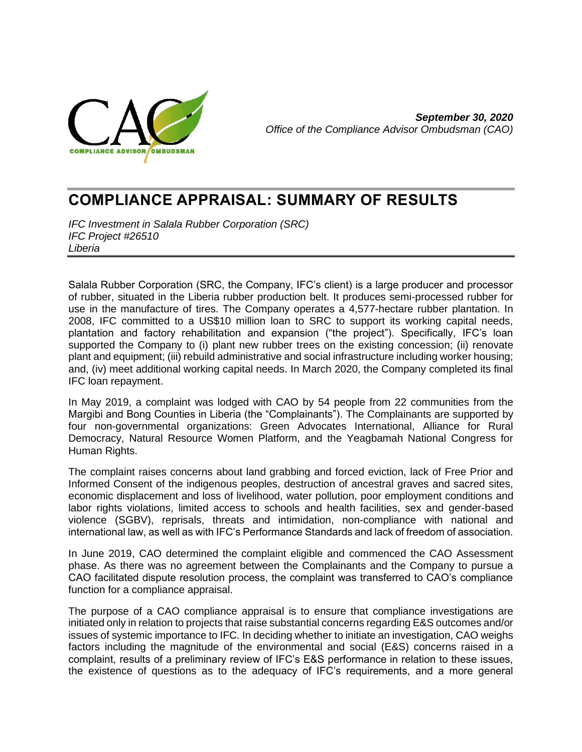

*September 30, 2020 Office of the Compliance Advisor Ombudsman (CAO)*

# **COMPLIANCE APPRAISAL: SUMMARY OF RESULTS**

*IFC Investment in Salala Rubber Corporation (SRC) IFC Project #26510 Liberia*

Salala Rubber Corporation (SRC, the Company, IFC's client) is a large producer and processor of rubber, situated in the Liberia rubber production belt. It produces semi-processed rubber for use in the manufacture of tires. The Company operates a 4,577-hectare rubber plantation. In 2008, IFC committed to a US\$10 million loan to SRC to support its working capital needs, plantation and factory rehabilitation and expansion ("the project"). Specifically, IFC's loan supported the Company to (i) plant new rubber trees on the existing concession; (ii) renovate plant and equipment; (iii) rebuild administrative and social infrastructure including worker housing; and, (iv) meet additional working capital needs. In March 2020, the Company completed its final IFC loan repayment.

In May 2019, a complaint was lodged with CAO by 54 people from 22 communities from the Margibi and Bong Counties in Liberia (the "Complainants"). The Complainants are supported by four non-governmental organizations: Green Advocates International, Alliance for Rural Democracy, Natural Resource Women Platform, and the Yeagbamah National Congress for Human Rights.

The complaint raises concerns about land grabbing and forced eviction, lack of Free Prior and Informed Consent of the indigenous peoples, destruction of ancestral graves and sacred sites, economic displacement and loss of livelihood, water pollution, poor employment conditions and labor rights violations, limited access to schools and health facilities, sex and gender-based violence (SGBV), reprisals, threats and intimidation, non-compliance with national and international law, as well as with IFC's Performance Standards and lack of freedom of association.

In June 2019, CAO determined the complaint eligible and commenced the CAO Assessment phase. As there was no agreement between the Complainants and the Company to pursue a CAO facilitated dispute resolution process, the complaint was transferred to CAO's compliance function for a compliance appraisal.

The purpose of a CAO compliance appraisal is to ensure that compliance investigations are initiated only in relation to projects that raise substantial concerns regarding E&S outcomes and/or issues of systemic importance to IFC. In deciding whether to initiate an investigation, CAO weighs factors including the magnitude of the environmental and social (E&S) concerns raised in a complaint, results of a preliminary review of IFC's E&S performance in relation to these issues, the existence of questions as to the adequacy of IFC's requirements, and a more general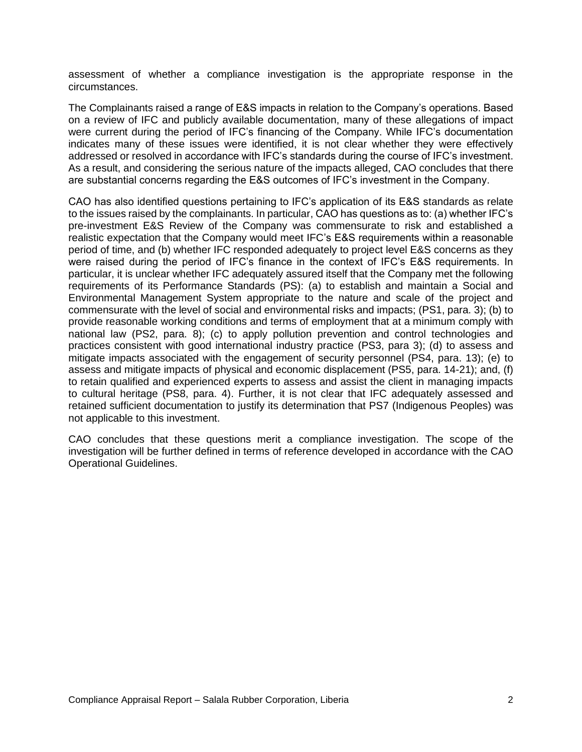assessment of whether a compliance investigation is the appropriate response in the circumstances.

The Complainants raised a range of E&S impacts in relation to the Company's operations. Based on a review of IFC and publicly available documentation, many of these allegations of impact were current during the period of IFC's financing of the Company. While IFC's documentation indicates many of these issues were identified, it is not clear whether they were effectively addressed or resolved in accordance with IFC's standards during the course of IFC's investment. As a result, and considering the serious nature of the impacts alleged, CAO concludes that there are substantial concerns regarding the E&S outcomes of IFC's investment in the Company.

CAO has also identified questions pertaining to IFC's application of its E&S standards as relate to the issues raised by the complainants. In particular, CAO has questions as to: (a) whether IFC's pre-investment E&S Review of the Company was commensurate to risk and established a realistic expectation that the Company would meet IFC's E&S requirements within a reasonable period of time, and (b) whether IFC responded adequately to project level E&S concerns as they were raised during the period of IFC's finance in the context of IFC's E&S requirements. In particular, it is unclear whether IFC adequately assured itself that the Company met the following requirements of its Performance Standards (PS): (a) to establish and maintain a Social and Environmental Management System appropriate to the nature and scale of the project and commensurate with the level of social and environmental risks and impacts; (PS1, para. 3); (b) to provide reasonable working conditions and terms of employment that at a minimum comply with national law (PS2, para. 8); (c) to apply pollution prevention and control technologies and practices consistent with good international industry practice (PS3, para 3); (d) to assess and mitigate impacts associated with the engagement of security personnel (PS4, para. 13); (e) to assess and mitigate impacts of physical and economic displacement (PS5, para. 14-21); and, (f) to retain qualified and experienced experts to assess and assist the client in managing impacts to cultural heritage (PS8, para. 4). Further, it is not clear that IFC adequately assessed and retained sufficient documentation to justify its determination that PS7 (Indigenous Peoples) was not applicable to this investment.

CAO concludes that these questions merit a compliance investigation. The scope of the investigation will be further defined in terms of reference developed in accordance with the CAO Operational Guidelines.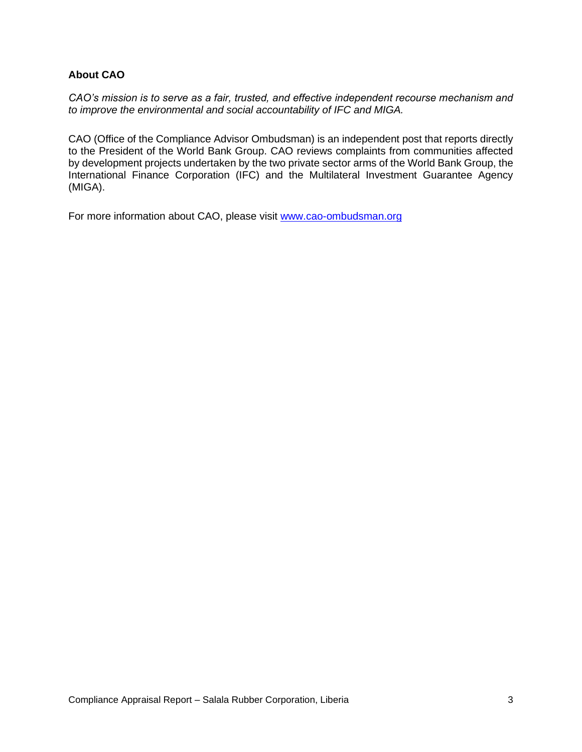## **About CAO**

*CAO's mission is to serve as a fair, trusted, and effective independent recourse mechanism and to improve the environmental and social accountability of IFC and MIGA.*

CAO (Office of the Compliance Advisor Ombudsman) is an independent post that reports directly to the President of the World Bank Group. CAO reviews complaints from communities affected by development projects undertaken by the two private sector arms of the World Bank Group, the International Finance Corporation (IFC) and the Multilateral Investment Guarantee Agency (MIGA).

For more information about CAO, please visit [www.cao-ombudsman.org](http://www.cao-ombudsman.org/)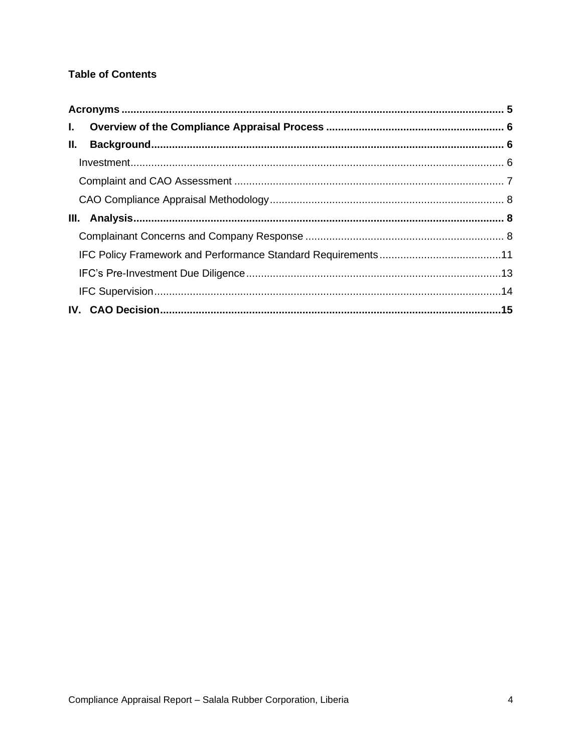## **Table of Contents**

| $\mathbf{L}$ |  |
|--------------|--|
| II.          |  |
|              |  |
|              |  |
|              |  |
|              |  |
|              |  |
|              |  |
|              |  |
|              |  |
|              |  |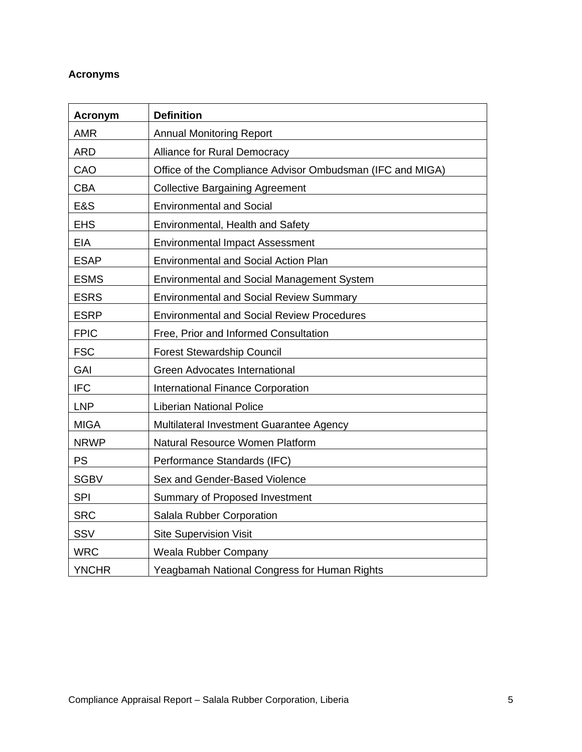# <span id="page-4-0"></span>**Acronyms**

| <b>Acronym</b> | <b>Definition</b>                                         |
|----------------|-----------------------------------------------------------|
| <b>AMR</b>     | <b>Annual Monitoring Report</b>                           |
| <b>ARD</b>     | Alliance for Rural Democracy                              |
| CAO            | Office of the Compliance Advisor Ombudsman (IFC and MIGA) |
| <b>CBA</b>     | <b>Collective Bargaining Agreement</b>                    |
| E&S            | <b>Environmental and Social</b>                           |
| <b>EHS</b>     | Environmental, Health and Safety                          |
| <b>EIA</b>     | <b>Environmental Impact Assessment</b>                    |
| <b>ESAP</b>    | <b>Environmental and Social Action Plan</b>               |
| <b>ESMS</b>    | <b>Environmental and Social Management System</b>         |
| <b>ESRS</b>    | <b>Environmental and Social Review Summary</b>            |
| <b>ESRP</b>    | <b>Environmental and Social Review Procedures</b>         |
| <b>FPIC</b>    | Free, Prior and Informed Consultation                     |
| <b>FSC</b>     | <b>Forest Stewardship Council</b>                         |
| GAI            | Green Advocates International                             |
| <b>IFC</b>     | <b>International Finance Corporation</b>                  |
| <b>LNP</b>     | <b>Liberian National Police</b>                           |
| <b>MIGA</b>    | Multilateral Investment Guarantee Agency                  |
| <b>NRWP</b>    | Natural Resource Women Platform                           |
| <b>PS</b>      | Performance Standards (IFC)                               |
| <b>SGBV</b>    | Sex and Gender-Based Violence                             |
| <b>SPI</b>     | Summary of Proposed Investment                            |
| <b>SRC</b>     | Salala Rubber Corporation                                 |
| SSV            | <b>Site Supervision Visit</b>                             |
| <b>WRC</b>     | Weala Rubber Company                                      |
| <b>YNCHR</b>   | Yeagbamah National Congress for Human Rights              |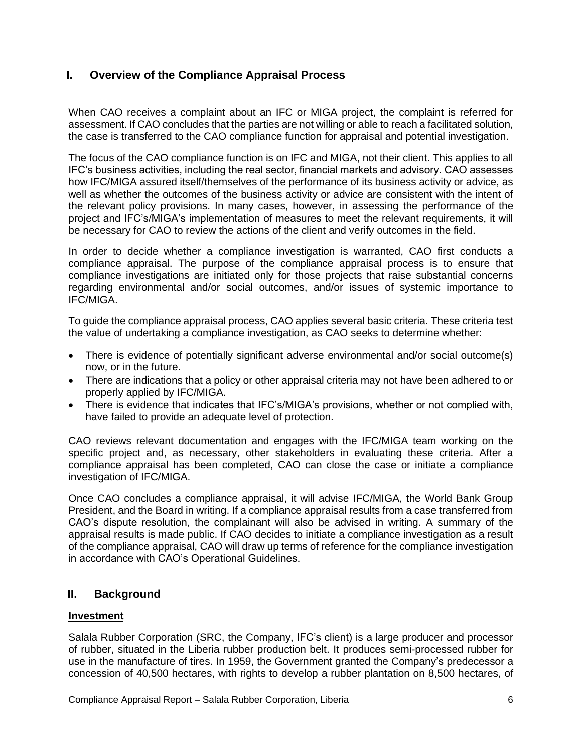## <span id="page-5-0"></span>**I. Overview of the Compliance Appraisal Process**

When CAO receives a complaint about an IFC or MIGA project, the complaint is referred for assessment. If CAO concludes that the parties are not willing or able to reach a facilitated solution, the case is transferred to the CAO compliance function for appraisal and potential investigation.

The focus of the CAO compliance function is on IFC and MIGA, not their client. This applies to all IFC's business activities, including the real sector, financial markets and advisory. CAO assesses how IFC/MIGA assured itself/themselves of the performance of its business activity or advice, as well as whether the outcomes of the business activity or advice are consistent with the intent of the relevant policy provisions. In many cases, however, in assessing the performance of the project and IFC's/MIGA's implementation of measures to meet the relevant requirements, it will be necessary for CAO to review the actions of the client and verify outcomes in the field.

In order to decide whether a compliance investigation is warranted, CAO first conducts a compliance appraisal. The purpose of the compliance appraisal process is to ensure that compliance investigations are initiated only for those projects that raise substantial concerns regarding environmental and/or social outcomes, and/or issues of systemic importance to IFC/MIGA.

To guide the compliance appraisal process, CAO applies several basic criteria. These criteria test the value of undertaking a compliance investigation, as CAO seeks to determine whether:

- There is evidence of potentially significant adverse environmental and/or social outcome(s) now, or in the future.
- There are indications that a policy or other appraisal criteria may not have been adhered to or properly applied by IFC/MIGA.
- There is evidence that indicates that IFC's/MIGA's provisions, whether or not complied with, have failed to provide an adequate level of protection.

CAO reviews relevant documentation and engages with the IFC/MIGA team working on the specific project and, as necessary, other stakeholders in evaluating these criteria. After a compliance appraisal has been completed, CAO can close the case or initiate a compliance investigation of IFC/MIGA.

Once CAO concludes a compliance appraisal, it will advise IFC/MIGA, the World Bank Group President, and the Board in writing. If a compliance appraisal results from a case transferred from CAO's dispute resolution, the complainant will also be advised in writing. A summary of the appraisal results is made public. If CAO decides to initiate a compliance investigation as a result of the compliance appraisal, CAO will draw up terms of reference for the compliance investigation in accordance with CAO's Operational Guidelines.

# <span id="page-5-1"></span>**II. Background**

## <span id="page-5-2"></span>**Investment**

Salala Rubber Corporation (SRC, the Company, IFC's client) is a large producer and processor of rubber, situated in the Liberia rubber production belt. It produces semi-processed rubber for use in the manufacture of tires. In 1959, the Government granted the Company's predecessor a concession of 40,500 hectares, with rights to develop a rubber plantation on 8,500 hectares, of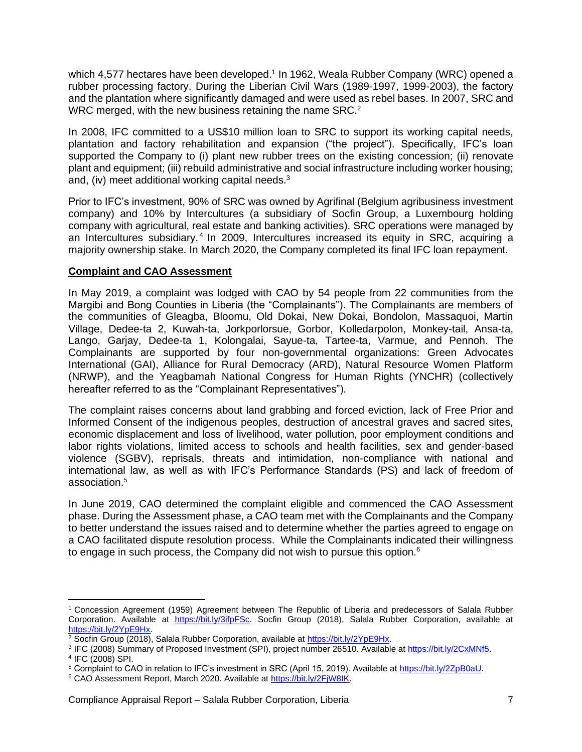which 4,577 hectares have been developed.<sup>1</sup> In 1962, Weala Rubber Company (WRC) opened a rubber processing factory. During the Liberian Civil Wars (1989-1997, 1999-2003), the factory and the plantation where significantly damaged and were used as rebel bases. In 2007, SRC and WRC merged, with the new business retaining the name SRC.<sup>2</sup>

In 2008, IFC committed to a US\$10 million loan to SRC to support its working capital needs, plantation and factory rehabilitation and expansion ("the project"). Specifically, IFC's loan supported the Company to (i) plant new rubber trees on the existing concession; (ii) renovate plant and equipment; (iii) rebuild administrative and social infrastructure including worker housing; and, (iv) meet additional working capital needs.<sup>3</sup>

Prior to IFC's investment, 90% of SRC was owned by Agrifinal (Belgium agribusiness investment company) and 10% by Intercultures (a subsidiary of Socfin Group, a Luxembourg holding company with agricultural, real estate and banking activities). SRC operations were managed by an Intercultures subsidiary.<sup>4</sup> In 2009, Intercultures increased its equity in SRC, acquiring a majority ownership stake. In March 2020, the Company completed its final IFC loan repayment.

## <span id="page-6-0"></span>**Complaint and CAO Assessment**

In May 2019, a complaint was lodged with CAO by 54 people from 22 communities from the Margibi and Bong Counties in Liberia (the "Complainants"). The Complainants are members of the communities of Gleagba, Bloomu, Old Dokai, New Dokai, Bondolon, Massaquoi, Martin Village, Dedee-ta 2, Kuwah-ta, Jorkporlorsue, Gorbor, Kolledarpolon, Monkey-tail, Ansa-ta, Lango, Garjay, Dedee-ta 1, Kolongalai, Sayue-ta, Tartee-ta, Varmue, and Pennoh. The Complainants are supported by four non-governmental organizations: Green Advocates International (GAI), Alliance for Rural Democracy (ARD), Natural Resource Women Platform (NRWP), and the Yeagbamah National Congress for Human Rights (YNCHR) (collectively hereafter referred to as the "Complainant Representatives").

The complaint raises concerns about land grabbing and forced eviction, lack of Free Prior and Informed Consent of the indigenous peoples, destruction of ancestral graves and sacred sites, economic displacement and loss of livelihood, water pollution, poor employment conditions and labor rights violations, limited access to schools and health facilities, sex and gender-based violence (SGBV), reprisals, threats and intimidation, non-compliance with national and international law, as well as with IFC's Performance Standards (PS) and lack of freedom of association.<sup>5</sup>

In June 2019, CAO determined the complaint eligible and commenced the CAO Assessment phase. During the Assessment phase, a CAO team met with the Complainants and the Company to better understand the issues raised and to determine whether the parties agreed to engage on a CAO facilitated dispute resolution process. While the Complainants indicated their willingness to engage in such process, the Company did not wish to pursue this option.<sup>6</sup>

<sup>1</sup> Concession Agreement (1959) Agreement between The Republic of Liberia and predecessors of Salala Rubber Corporation. Available at [https://bit.ly/3ifpFSc.](https://bit.ly/3ifpFSc) Socfin Group (2018), Salala Rubber Corporation, available at [https://bit.ly/2YpE9Hx.](https://bit.ly/2YpE9Hx)

<sup>2</sup> Socfin Group (2018), Salala Rubber Corporation, available at [https://bit.ly/2YpE9Hx.](https://bit.ly/2YpE9Hx)

<sup>&</sup>lt;sup>3</sup> IFC (2008) Summary of Proposed Investment (SPI), project number 26510. Available at [https://bit.ly/2CxMNf5.](https://bit.ly/2CxMNf5) 4 IFC (2008) SPI.

<sup>5</sup> Complaint to CAO in relation to IFC's investment in SRC (April 15, 2019). Available at [https://bit.ly/2ZpB0aU.](https://bit.ly/2ZpB0aU)

<sup>&</sup>lt;sup>6</sup> CAO Assessment Report, March 2020. Available at [https://bit.ly/2FjW8IK.](https://bit.ly/2FjW8IK)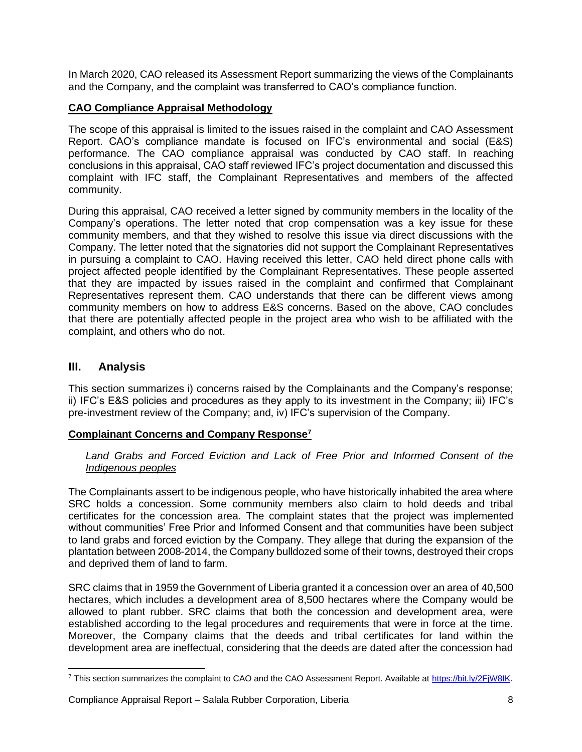In March 2020, CAO released its Assessment Report summarizing the views of the Complainants and the Company, and the complaint was transferred to CAO's compliance function.

## <span id="page-7-0"></span>**CAO Compliance Appraisal Methodology**

The scope of this appraisal is limited to the issues raised in the complaint and CAO Assessment Report. CAO's compliance mandate is focused on IFC's environmental and social (E&S) performance. The CAO compliance appraisal was conducted by CAO staff. In reaching conclusions in this appraisal, CAO staff reviewed IFC's project documentation and discussed this complaint with IFC staff, the Complainant Representatives and members of the affected community.

During this appraisal, CAO received a letter signed by community members in the locality of the Company's operations. The letter noted that crop compensation was a key issue for these community members, and that they wished to resolve this issue via direct discussions with the Company. The letter noted that the signatories did not support the Complainant Representatives in pursuing a complaint to CAO. Having received this letter, CAO held direct phone calls with project affected people identified by the Complainant Representatives. These people asserted that they are impacted by issues raised in the complaint and confirmed that Complainant Representatives represent them. CAO understands that there can be different views among community members on how to address E&S concerns. Based on the above, CAO concludes that there are potentially affected people in the project area who wish to be affiliated with the complaint, and others who do not.

## <span id="page-7-1"></span>**III. Analysis**

This section summarizes i) concerns raised by the Complainants and the Company's response; ii) IFC's E&S policies and procedures as they apply to its investment in the Company; iii) IFC's pre-investment review of the Company; and, iv) IFC's supervision of the Company.

## <span id="page-7-2"></span>**Complainant Concerns and Company Response<sup>7</sup>**

## Land Grabs and Forced Eviction and Lack of Free Prior and Informed Consent of the *Indigenous peoples*

The Complainants assert to be indigenous people, who have historically inhabited the area where SRC holds a concession. Some community members also claim to hold deeds and tribal certificates for the concession area. The complaint states that the project was implemented without communities' Free Prior and Informed Consent and that communities have been subject to land grabs and forced eviction by the Company. They allege that during the expansion of the plantation between 2008-2014, the Company bulldozed some of their towns, destroyed their crops and deprived them of land to farm.

SRC claims that in 1959 the Government of Liberia granted it a concession over an area of 40,500 hectares, which includes a development area of 8,500 hectares where the Company would be allowed to plant rubber. SRC claims that both the concession and development area, were established according to the legal procedures and requirements that were in force at the time. Moreover, the Company claims that the deeds and tribal certificates for land within the development area are ineffectual, considering that the deeds are dated after the concession had

<sup>&</sup>lt;sup>7</sup> This section summarizes the complaint to CAO and the CAO Assessment Report. Available at [https://bit.ly/2FjW8IK.](https://bit.ly/2FjW8IK)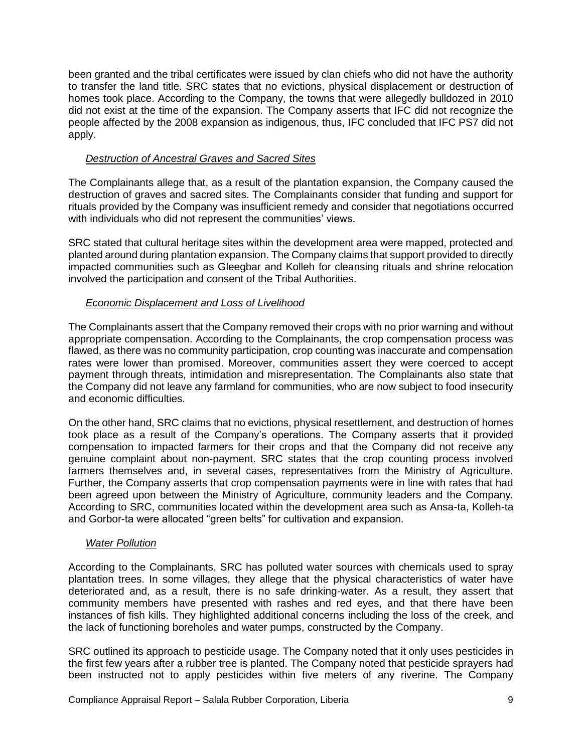been granted and the tribal certificates were issued by clan chiefs who did not have the authority to transfer the land title. SRC states that no evictions, physical displacement or destruction of homes took place. According to the Company, the towns that were allegedly bulldozed in 2010 did not exist at the time of the expansion. The Company asserts that IFC did not recognize the people affected by the 2008 expansion as indigenous, thus, IFC concluded that IFC PS7 did not apply.

## *Destruction of Ancestral Graves and Sacred Sites*

The Complainants allege that, as a result of the plantation expansion, the Company caused the destruction of graves and sacred sites. The Complainants consider that funding and support for rituals provided by the Company was insufficient remedy and consider that negotiations occurred with individuals who did not represent the communities' views.

SRC stated that cultural heritage sites within the development area were mapped, protected and planted around during plantation expansion. The Company claims that support provided to directly impacted communities such as Gleegbar and Kolleh for cleansing rituals and shrine relocation involved the participation and consent of the Tribal Authorities.

## *Economic Displacement and Loss of Livelihood*

The Complainants assert that the Company removed their crops with no prior warning and without appropriate compensation. According to the Complainants, the crop compensation process was flawed, as there was no community participation, crop counting was inaccurate and compensation rates were lower than promised. Moreover, communities assert they were coerced to accept payment through threats, intimidation and misrepresentation. The Complainants also state that the Company did not leave any farmland for communities, who are now subject to food insecurity and economic difficulties.

On the other hand, SRC claims that no evictions, physical resettlement, and destruction of homes took place as a result of the Company's operations. The Company asserts that it provided compensation to impacted farmers for their crops and that the Company did not receive any genuine complaint about non-payment. SRC states that the crop counting process involved farmers themselves and, in several cases, representatives from the Ministry of Agriculture. Further, the Company asserts that crop compensation payments were in line with rates that had been agreed upon between the Ministry of Agriculture, community leaders and the Company. According to SRC, communities located within the development area such as Ansa-ta, Kolleh-ta and Gorbor-ta were allocated "green belts" for cultivation and expansion.

## *Water Pollution*

According to the Complainants, SRC has polluted water sources with chemicals used to spray plantation trees. In some villages, they allege that the physical characteristics of water have deteriorated and, as a result, there is no safe drinking-water. As a result, they assert that community members have presented with rashes and red eyes, and that there have been instances of fish kills. They highlighted additional concerns including the loss of the creek, and the lack of functioning boreholes and water pumps, constructed by the Company.

SRC outlined its approach to pesticide usage. The Company noted that it only uses pesticides in the first few years after a rubber tree is planted. The Company noted that pesticide sprayers had been instructed not to apply pesticides within five meters of any riverine. The Company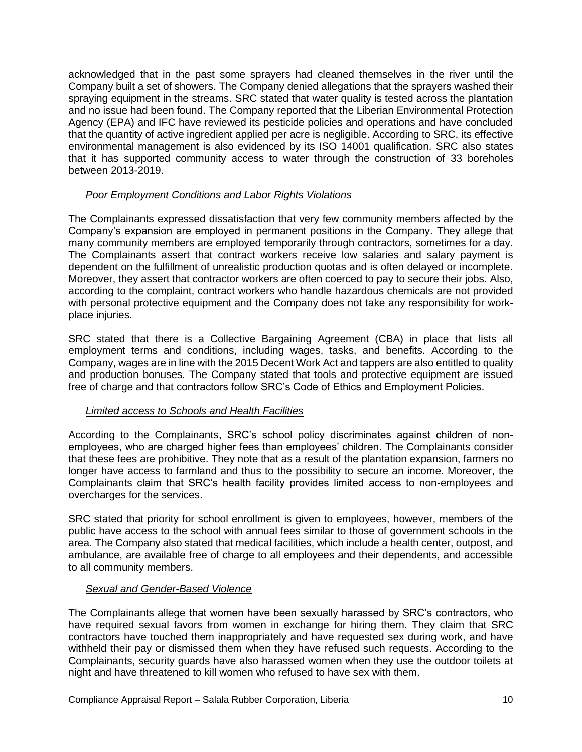acknowledged that in the past some sprayers had cleaned themselves in the river until the Company built a set of showers. The Company denied allegations that the sprayers washed their spraying equipment in the streams. SRC stated that water quality is tested across the plantation and no issue had been found. The Company reported that the Liberian Environmental Protection Agency (EPA) and IFC have reviewed its pesticide policies and operations and have concluded that the quantity of active ingredient applied per acre is negligible. According to SRC, its effective environmental management is also evidenced by its ISO 14001 qualification. SRC also states that it has supported community access to water through the construction of 33 boreholes between 2013-2019.

## *Poor Employment Conditions and Labor Rights Violations*

The Complainants expressed dissatisfaction that very few community members affected by the Company's expansion are employed in permanent positions in the Company. They allege that many community members are employed temporarily through contractors, sometimes for a day. The Complainants assert that contract workers receive low salaries and salary payment is dependent on the fulfillment of unrealistic production quotas and is often delayed or incomplete. Moreover, they assert that contractor workers are often coerced to pay to secure their jobs. Also, according to the complaint, contract workers who handle hazardous chemicals are not provided with personal protective equipment and the Company does not take any responsibility for workplace injuries.

SRC stated that there is a Collective Bargaining Agreement (CBA) in place that lists all employment terms and conditions, including wages, tasks, and benefits. According to the Company, wages are in line with the 2015 Decent Work Act and tappers are also entitled to quality and production bonuses. The Company stated that tools and protective equipment are issued free of charge and that contractors follow SRC's Code of Ethics and Employment Policies.

## *Limited access to Schools and Health Facilities*

According to the Complainants, SRC's school policy discriminates against children of nonemployees, who are charged higher fees than employees' children. The Complainants consider that these fees are prohibitive. They note that as a result of the plantation expansion, farmers no longer have access to farmland and thus to the possibility to secure an income. Moreover, the Complainants claim that SRC's health facility provides limited access to non-employees and overcharges for the services.

SRC stated that priority for school enrollment is given to employees, however, members of the public have access to the school with annual fees similar to those of government schools in the area. The Company also stated that medical facilities, which include a health center, outpost, and ambulance, are available free of charge to all employees and their dependents, and accessible to all community members.

## *Sexual and Gender-Based Violence*

The Complainants allege that women have been sexually harassed by SRC's contractors, who have required sexual favors from women in exchange for hiring them. They claim that SRC contractors have touched them inappropriately and have requested sex during work, and have withheld their pay or dismissed them when they have refused such requests. According to the Complainants, security guards have also harassed women when they use the outdoor toilets at night and have threatened to kill women who refused to have sex with them.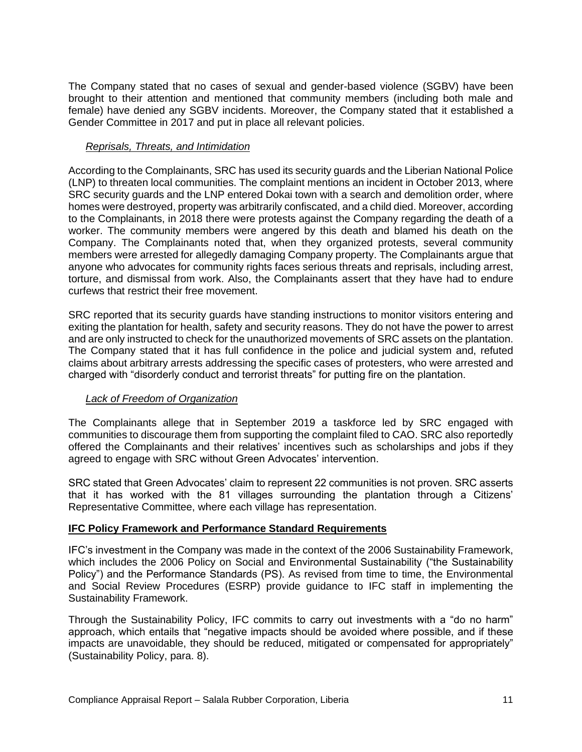The Company stated that no cases of sexual and gender-based violence (SGBV) have been brought to their attention and mentioned that community members (including both male and female) have denied any SGBV incidents. Moreover, the Company stated that it established a Gender Committee in 2017 and put in place all relevant policies.

#### *Reprisals, Threats, and Intimidation*

According to the Complainants, SRC has used its security guards and the Liberian National Police (LNP) to threaten local communities. The complaint mentions an incident in October 2013, where SRC security guards and the LNP entered Dokai town with a search and demolition order, where homes were destroyed, property was arbitrarily confiscated, and a child died. Moreover, according to the Complainants, in 2018 there were protests against the Company regarding the death of a worker. The community members were angered by this death and blamed his death on the Company. The Complainants noted that, when they organized protests, several community members were arrested for allegedly damaging Company property. The Complainants argue that anyone who advocates for community rights faces serious threats and reprisals, including arrest, torture, and dismissal from work. Also, the Complainants assert that they have had to endure curfews that restrict their free movement.

SRC reported that its security guards have standing instructions to monitor visitors entering and exiting the plantation for health, safety and security reasons. They do not have the power to arrest and are only instructed to check for the unauthorized movements of SRC assets on the plantation. The Company stated that it has full confidence in the police and judicial system and, refuted claims about arbitrary arrests addressing the specific cases of protesters, who were arrested and charged with "disorderly conduct and terrorist threats" for putting fire on the plantation.

## *Lack of Freedom of Organization*

The Complainants allege that in September 2019 a taskforce led by SRC engaged with communities to discourage them from supporting the complaint filed to CAO. SRC also reportedly offered the Complainants and their relatives' incentives such as scholarships and jobs if they agreed to engage with SRC without Green Advocates' intervention.

SRC stated that Green Advocates' claim to represent 22 communities is not proven. SRC asserts that it has worked with the 81 villages surrounding the plantation through a Citizens' Representative Committee, where each village has representation.

## <span id="page-10-0"></span>**IFC Policy Framework and Performance Standard Requirements**

IFC's investment in the Company was made in the context of the 2006 Sustainability Framework, which includes the 2006 Policy on Social and Environmental Sustainability ("the Sustainability Policy") and the Performance Standards (PS). As revised from time to time, the Environmental and Social Review Procedures (ESRP) provide guidance to IFC staff in implementing the Sustainability Framework.

Through the Sustainability Policy, IFC commits to carry out investments with a "do no harm" approach, which entails that "negative impacts should be avoided where possible, and if these impacts are unavoidable, they should be reduced, mitigated or compensated for appropriately" (Sustainability Policy, para. 8).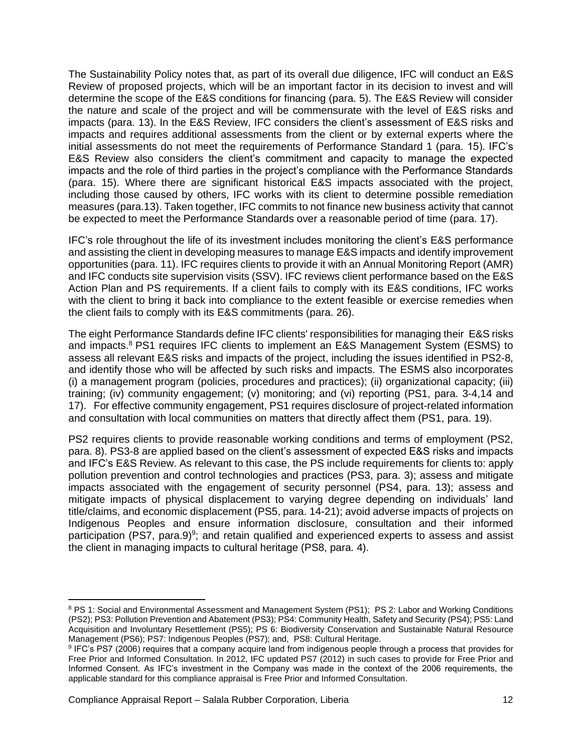The Sustainability Policy notes that, as part of its overall due diligence, IFC will conduct an E&S Review of proposed projects, which will be an important factor in its decision to invest and will determine the scope of the E&S conditions for financing (para. 5). The E&S Review will consider the nature and scale of the project and will be commensurate with the level of E&S risks and impacts (para. 13). In the E&S Review, IFC considers the client's assessment of E&S risks and impacts and requires additional assessments from the client or by external experts where the initial assessments do not meet the requirements of Performance Standard 1 (para. 15). IFC's E&S Review also considers the client's commitment and capacity to manage the expected impacts and the role of third parties in the project's compliance with the Performance Standards (para. 15). Where there are significant historical E&S impacts associated with the project, including those caused by others, IFC works with its client to determine possible remediation measures (para.13). Taken together, IFC commits to not finance new business activity that cannot be expected to meet the Performance Standards over a reasonable period of time (para. 17).

IFC's role throughout the life of its investment includes monitoring the client's E&S performance and assisting the client in developing measures to manage E&S impacts and identify improvement opportunities (para. 11). IFC requires clients to provide it with an Annual Monitoring Report (AMR) and IFC conducts site supervision visits (SSV). IFC reviews client performance based on the E&S Action Plan and PS requirements. If a client fails to comply with its E&S conditions, IFC works with the client to bring it back into compliance to the extent feasible or exercise remedies when the client fails to comply with its E&S commitments (para. 26).

The eight Performance Standards define IFC clients' responsibilities for managing their E&S risks and impacts. <sup>8</sup> PS1 requires IFC clients to implement an E&S Management System (ESMS) to assess all relevant E&S risks and impacts of the project, including the issues identified in PS2-8, and identify those who will be affected by such risks and impacts. The ESMS also incorporates (i) a management program (policies, procedures and practices); (ii) organizational capacity; (iii) training; (iv) community engagement; (v) monitoring; and (vi) reporting (PS1, para. 3-4,14 and 17). For effective community engagement, PS1 requires disclosure of project-related information and consultation with local communities on matters that directly affect them (PS1, para. 19).

PS2 requires clients to provide reasonable working conditions and terms of employment (PS2, para. 8). PS3-8 are applied based on the client's assessment of expected E&S risks and impacts and IFC's E&S Review. As relevant to this case, the PS include requirements for clients to: apply pollution prevention and control technologies and practices (PS3, para. 3); assess and mitigate impacts associated with the engagement of security personnel (PS4, para. 13); assess and mitigate impacts of physical displacement to varying degree depending on individuals' land title/claims, and economic displacement (PS5, para. 14-21); avoid adverse impacts of projects on Indigenous Peoples and ensure information disclosure, consultation and their informed participation (PS7, para.9)<sup>9</sup>; and retain qualified and experienced experts to assess and assist the client in managing impacts to cultural heritage (PS8, para. 4).

<span id="page-11-0"></span><sup>8</sup> PS 1: Social and Environmental Assessment and Management System (PS1); PS 2: Labor and Working Conditions (PS2); PS3: Pollution Prevention and Abatement (PS3); PS4: Community Health, Safety and Security (PS4); PS5: Land Acquisition and Involuntary Resettlement (PS5); PS 6: Biodiversity Conservation and Sustainable Natural Resource Management (PS6); PS7: Indigenous Peoples (PS7); and, PS8: Cultural Heritage.

<sup>9</sup> IFC's PS7 (2006) requires that a company acquire land from indigenous people through a process that provides for Free Prior and Informed Consultation. In 2012, IFC updated PS7 (2012) in such cases to provide for Free Prior and Informed Consent. As IFC's investment in the Company was made in the context of the 2006 requirements, the applicable standard for this compliance appraisal is Free Prior and Informed Consultation.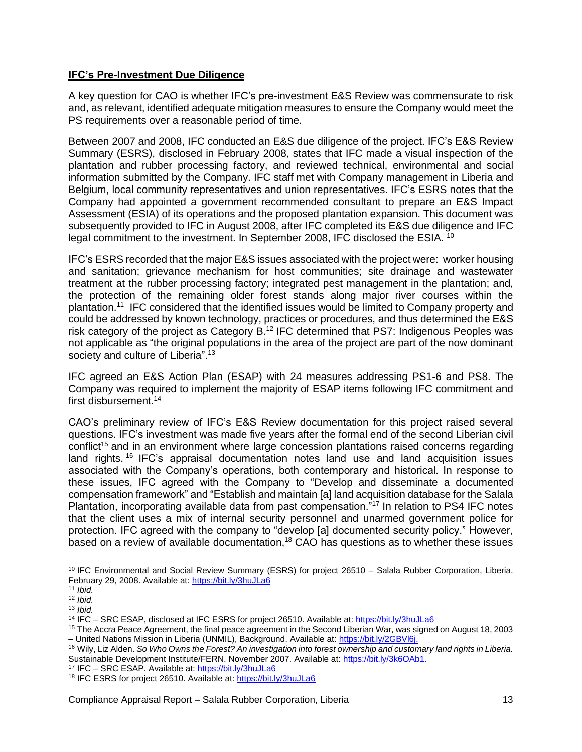## **IFC's Pre-Investment Due Diligence**

A key question for CAO is whether IFC's pre-investment E&S Review was commensurate to risk and, as relevant, identified adequate mitigation measures to ensure the Company would meet the PS requirements over a reasonable period of time.

Between 2007 and 2008, IFC conducted an E&S due diligence of the project. IFC's E&S Review Summary (ESRS), disclosed in February 2008, states that IFC made a visual inspection of the plantation and rubber processing factory, and reviewed technical, environmental and social information submitted by the Company. IFC staff met with Company management in Liberia and Belgium, local community representatives and union representatives. IFC's ESRS notes that the Company had appointed a government recommended consultant to prepare an E&S Impact Assessment (ESIA) of its operations and the proposed plantation expansion. This document was subsequently provided to IFC in August 2008, after IFC completed its E&S due diligence and IFC legal commitment to the investment. In September 2008, IFC disclosed the ESIA. <sup>10</sup>

IFC's ESRS recorded that the major E&S issues associated with the project were: worker housing and sanitation; grievance mechanism for host communities; site drainage and wastewater treatment at the rubber processing factory; integrated pest management in the plantation; and, the protection of the remaining older forest stands along major river courses within the plantation.<sup>11</sup> IFC considered that the identified issues would be limited to Company property and could be addressed by known technology, practices or procedures, and thus determined the E&S risk category of the project as Category B.<sup>12</sup> IFC determined that PS7: Indigenous Peoples was not applicable as "the original populations in the area of the project are part of the now dominant society and culture of Liberia".<sup>13</sup>

IFC agreed an E&S Action Plan (ESAP) with 24 measures addressing PS1-6 and PS8. The Company was required to implement the majority of ESAP items following IFC commitment and first disbursement.<sup>14</sup>

CAO's preliminary review of IFC's E&S Review documentation for this project raised several questions. IFC's investment was made five years after the formal end of the second Liberian civil conflict<sup>15</sup> and in an environment where large concession plantations raised concerns regarding land rights.<sup>16</sup> IFC's appraisal documentation notes land use and land acquisition issues associated with the Company's operations, both contemporary and historical. In response to these issues, IFC agreed with the Company to "Develop and disseminate a documented compensation framework" and "Establish and maintain [a] land acquisition database for the Salala Plantation, incorporating available data from past compensation."<sup>17</sup> In relation to PS4 IFC notes that the client uses a mix of internal security personnel and unarmed government police for protection. IFC agreed with the company to "develop [a] documented security policy." However, based on a review of available documentation, <sup>18</sup> CAO has questions as to whether these issues

<sup>10</sup> IFC Environmental and Social Review Summary (ESRS) for project 26510 – Salala Rubber Corporation, Liberia. February 29, 2008. Available at:<https://bit.ly/3huJLa6>

<sup>11</sup> *Ibid.*

<sup>12</sup> *Ibid.* 

<sup>13</sup> *Ibid.*

<sup>14</sup> IFC – SRC ESAP, disclosed at IFC ESRS for project 26510. Available at:<https://bit.ly/3huJLa6>

<sup>15</sup> The Accra Peace Agreement, the final peace agreement in the Second Liberian War, was signed on August 18, 2003 – United Nations Mission in Liberia (UNMIL), Background. Available at[: https://bit.ly/2GBVl6j.](https://bit.ly/2GBVl6j)

<sup>16</sup> Wily, Liz Alden. *So Who Owns the Forest? An investigation into forest ownership and customary land rights in Liberia.*  Sustainable Development Institute/FERN. November 2007. Available at: [https://bit.ly/3k6OAb1.](https://bit.ly/3k6OAb1)

<sup>&</sup>lt;sup>17</sup> IFC – SRC ESAP. Available at[: https://bit.ly/3huJLa6](https://bit.ly/3huJLa6)

<sup>&</sup>lt;sup>18</sup> IFC ESRS for project 26510. Available at:<https://bit.ly/3huJLa6>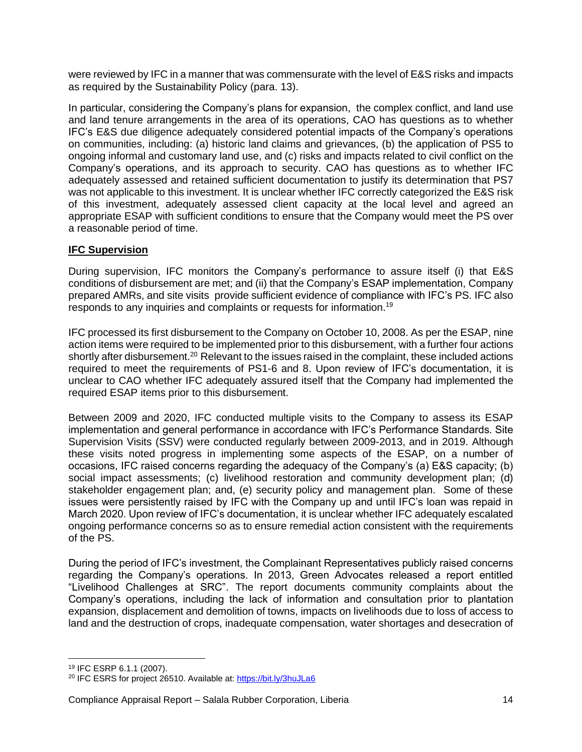were reviewed by IFC in a manner that was commensurate with the level of E&S risks and impacts as required by the Sustainability Policy (para. 13).

In particular, considering the Company's plans for expansion, the complex conflict, and land use and land tenure arrangements in the area of its operations, CAO has questions as to whether IFC's E&S due diligence adequately considered potential impacts of the Company's operations on communities, including: (a) historic land claims and grievances, (b) the application of PS5 to ongoing informal and customary land use, and (c) risks and impacts related to civil conflict on the Company's operations, and its approach to security. CAO has questions as to whether IFC adequately assessed and retained sufficient documentation to justify its determination that PS7 was not applicable to this investment. It is unclear whether IFC correctly categorized the E&S risk of this investment, adequately assessed client capacity at the local level and agreed an appropriate ESAP with sufficient conditions to ensure that the Company would meet the PS over a reasonable period of time.

## <span id="page-13-0"></span>**IFC Supervision**

During supervision, IFC monitors the Company's performance to assure itself (i) that E&S conditions of disbursement are met; and (ii) that the Company's ESAP implementation, Company prepared AMRs, and site visits provide sufficient evidence of compliance with IFC's PS. IFC also responds to any inquiries and complaints or requests for information.<sup>19</sup>

IFC processed its first disbursement to the Company on October 10, 2008. As per the ESAP, nine action items were required to be implemented prior to this disbursement, with a further four actions shortly after disbursement.<sup>20</sup> Relevant to the issues raised in the complaint, these included actions required to meet the requirements of PS1-6 and 8. Upon review of IFC's documentation, it is unclear to CAO whether IFC adequately assured itself that the Company had implemented the required ESAP items prior to this disbursement.

Between 2009 and 2020, IFC conducted multiple visits to the Company to assess its ESAP implementation and general performance in accordance with IFC's Performance Standards. Site Supervision Visits (SSV) were conducted regularly between 2009-2013, and in 2019. Although these visits noted progress in implementing some aspects of the ESAP, on a number of occasions, IFC raised concerns regarding the adequacy of the Company's (a) E&S capacity; (b) social impact assessments; (c) livelihood restoration and community development plan; (d) stakeholder engagement plan; and, (e) security policy and management plan. Some of these issues were persistently raised by IFC with the Company up and until IFC's loan was repaid in March 2020. Upon review of IFC's documentation, it is unclear whether IFC adequately escalated ongoing performance concerns so as to ensure remedial action consistent with the requirements of the PS.

During the period of IFC's investment, the Complainant Representatives publicly raised concerns regarding the Company's operations. In 2013, Green Advocates released a report entitled "Livelihood Challenges at SRC". The report documents community complaints about the Company's operations, including the lack of information and consultation prior to plantation expansion, displacement and demolition of towns, impacts on livelihoods due to loss of access to land and the destruction of crops, inadequate compensation, water shortages and desecration of

<sup>19</sup> IFC ESRP 6.1.1 (2007).

<sup>&</sup>lt;sup>20</sup> IFC ESRS for project 26510. Available at:<https://bit.ly/3huJLa6>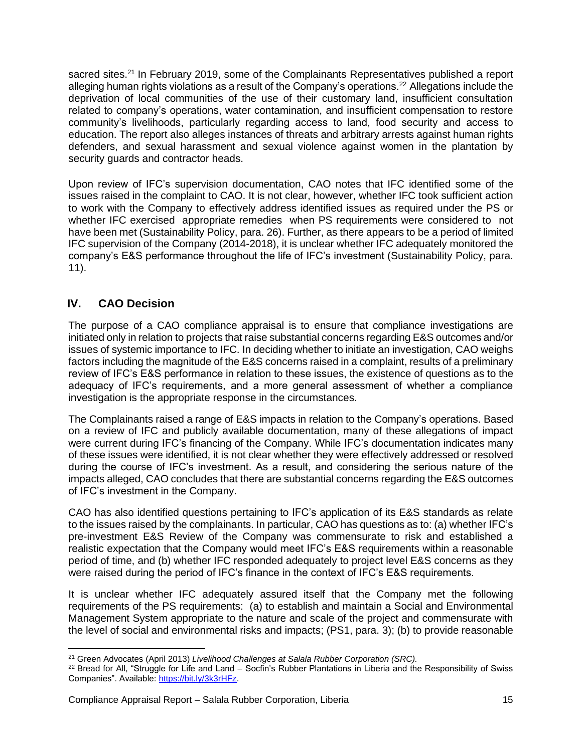sacred sites.<sup>21</sup> In February 2019, some of the Complainants Representatives published a report alleging human rights violations as a result of the Company's operations.<sup>22</sup> Allegations include the deprivation of local communities of the use of their customary land, insufficient consultation related to company's operations, water contamination, and insufficient compensation to restore community's livelihoods, particularly regarding access to land, food security and access to education. The report also alleges instances of threats and arbitrary arrests against human rights defenders, and sexual harassment and sexual violence against women in the plantation by security guards and contractor heads.

Upon review of IFC's supervision documentation, CAO notes that IFC identified some of the issues raised in the complaint to CAO. It is not clear, however, whether IFC took sufficient action to work with the Company to effectively address identified issues as required under the PS or whether IFC exercised appropriate remedies when PS requirements were considered to not have been met (Sustainability Policy, para. 26). Further, as there appears to be a period of limited IFC supervision of the Company (2014-2018), it is unclear whether IFC adequately monitored the company's E&S performance throughout the life of IFC's investment (Sustainability Policy, para. 11).

# <span id="page-14-0"></span>**IV. CAO Decision**

The purpose of a CAO compliance appraisal is to ensure that compliance investigations are initiated only in relation to projects that raise substantial concerns regarding E&S outcomes and/or issues of systemic importance to IFC. In deciding whether to initiate an investigation, CAO weighs factors including the magnitude of the E&S concerns raised in a complaint, results of a preliminary review of IFC's E&S performance in relation to these issues, the existence of questions as to the adequacy of IFC's requirements, and a more general assessment of whether a compliance investigation is the appropriate response in the circumstances.

The Complainants raised a range of E&S impacts in relation to the Company's operations. Based on a review of IFC and publicly available documentation, many of these allegations of impact were current during IFC's financing of the Company. While IFC's documentation indicates many of these issues were identified, it is not clear whether they were effectively addressed or resolved during the course of IFC's investment. As a result, and considering the serious nature of the impacts alleged, CAO concludes that there are substantial concerns regarding the E&S outcomes of IFC's investment in the Company.

CAO has also identified questions pertaining to IFC's application of its E&S standards as relate to the issues raised by the complainants. In particular, CAO has questions as to: (a) whether IFC's pre-investment E&S Review of the Company was commensurate to risk and established a realistic expectation that the Company would meet IFC's E&S requirements within a reasonable period of time, and (b) whether IFC responded adequately to project level E&S concerns as they were raised during the period of IFC's finance in the context of IFC's E&S requirements.

It is unclear whether IFC adequately assured itself that the Company met the following requirements of the PS requirements: (a) to establish and maintain a Social and Environmental Management System appropriate to the nature and scale of the project and commensurate with the level of social and environmental risks and impacts; (PS1, para. 3); (b) to provide reasonable

<sup>21</sup> Green Advocates (April 2013) *Livelihood Challenges at Salala Rubber Corporation (SRC).* 

<sup>&</sup>lt;sup>22</sup> Bread for All, "Struggle for Life and Land – Socfin's Rubber Plantations in Liberia and the Responsibility of Swiss Companies". Available: [https://bit.ly/3k3rHFz.](https://bit.ly/3k3rHFz)